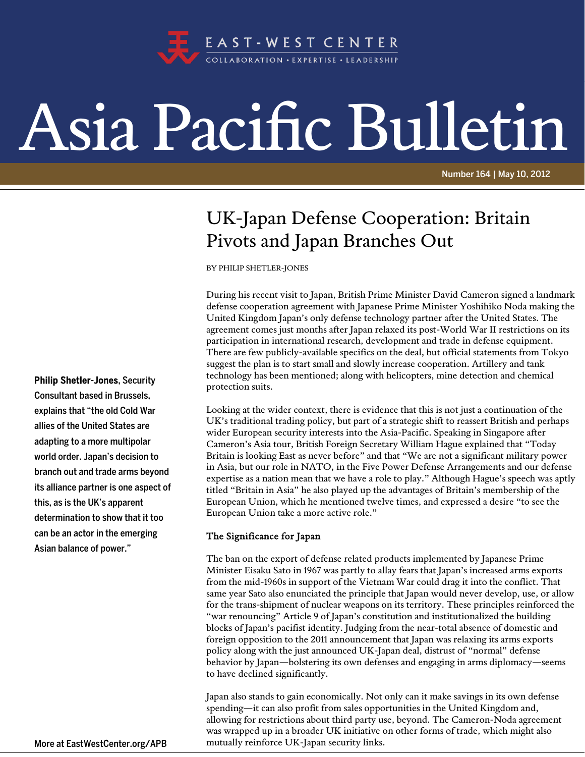

## Asia Pacific Bulletin

Number 164 | May 10, 2012

## UK-Japan Defense Cooperation: Britain Pivots and Japan Branches Out

BY PHILIP SHETLER-JONES

During his recent visit to Japan, British Prime Minister David Cameron signed a landmark defense cooperation agreement with Japanese Prime Minister Yoshihiko Noda making the United Kingdom Japan's only defense technology partner after the United States. The agreement comes just months after Japan relaxed its post-World War II restrictions on its participation in international research, development and trade in defense equipment. There are few publicly-available specifics on the deal, but official statements from Tokyo suggest the plan is to start small and slowly increase cooperation. Artillery and tank technology has been mentioned; along with helicopters, mine detection and chemical protection suits.

Looking at the wider context, there is evidence that this is not just a continuation of the UK's traditional trading policy, but part of a strategic shift to reassert British and perhaps wider European security interests into the Asia-Pacific. Speaking in Singapore after Cameron's Asia tour, British Foreign Secretary William Hague explained that "Today Britain is looking East as never before" and that "We are not a significant military power in Asia, but our role in NATO, in the Five Power Defense Arrangements and our defense expertise as a nation mean that we have a role to play." Although Hague's speech was aptly titled "Britain in Asia" he also played up the advantages of Britain's membership of the European Union, which he mentioned twelve times, and expressed a desire "to see the European Union take a more active role."

## The Significance for Japan

The ban on the export of defense related products implemented by Japanese Prime Minister Eisaku Sato in 1967 was partly to allay fears that Japan's increased arms exports from the mid-1960s in support of the Vietnam War could drag it into the conflict. That same year Sato also enunciated the principle that Japan would never develop, use, or allow for the trans-shipment of nuclear weapons on its territory. These principles reinforced the "war renouncing" Article 9 of Japan's constitution and institutionalized the building blocks of Japan's pacifist identity. Judging from the near-total absence of domestic and foreign opposition to the 2011 announcement that Japan was relaxing its arms exports policy along with the just announced UK-Japan deal, distrust of "normal" defense behavior by Japan—bolstering its own defenses and engaging in arms diplomacy—seems to have declined significantly.

Japan also stands to gain economically. Not only can it make savings in its own defense spending—it can also profit from sales opportunities in the United Kingdom and, allowing for restrictions about third party use, beyond. The Cameron-Noda agreement was wrapped up in a broader UK initiative on other forms of trade, which might also mutually reinforce UK-Japan security links.

Philip Shetler-Jones, Security Consultant based in Brussels, explains that "the old Cold War allies of the United States are adapting to a more multipolar world order. Japan's decision to branch out and trade arms beyond its alliance partner is one aspect of this, as is the UK's apparent determination to show that it too can be an actor in the emerging Asian balance of power."